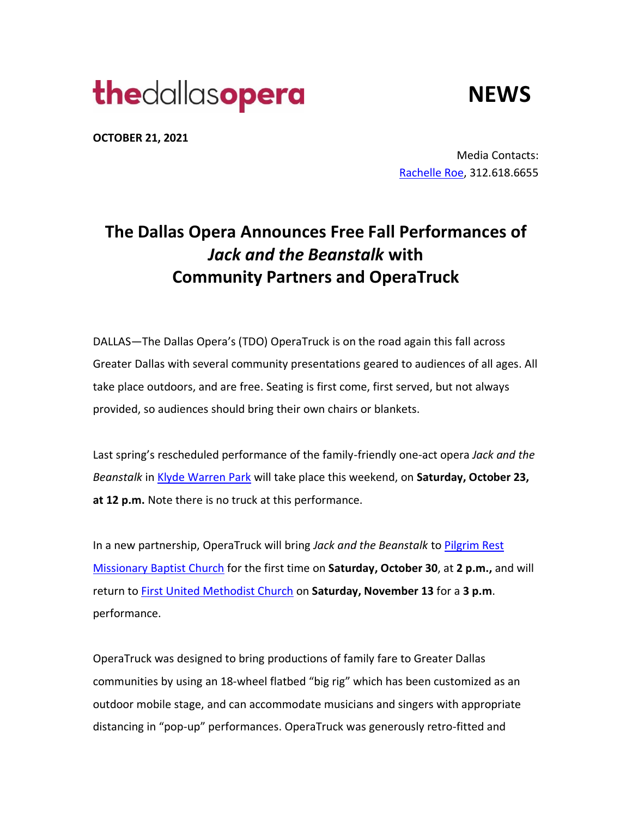# **the**dallasopera

**NEWS**

**OCTOBER 21, 2021** 

Media Contacts: [Rachelle Roe,](mailto:ArtsEtcPR@gmail.com) 312.618.6655

## **The Dallas Opera Announces Free Fall Performances of**  *Jack and the Beanstalk* **with Community Partners and OperaTruck**

DALLAS—The Dallas Opera's (TDO) OperaTruck is on the road again this fall across Greater Dallas with several community presentations geared to audiences of all ages. All take place outdoors, and are free. Seating is first come, first served, but not always provided, so audiences should bring their own chairs or blankets.

Last spring's rescheduled performance of the family-friendly one-act opera *Jack and the Beanstalk* in [Klyde Warren Park](https://www.klydewarrenpark.org/things-to-do/events/2021/thedallasopera.html) will take place this weekend, on **Saturday, October 23, at 12 p.m.** Note there is no truck at this performance.

In a new partnership, OperaTruck will bring *Jack and the Beanstalk* t[o Pilgrim Rest](https://www.pilgrimrestdallas.org/)  [Missionary Baptist Church](https://www.pilgrimrestdallas.org/) for the first time on **Saturday, October 30**, at **2 p.m.,** and will return t[o First United Methodist Church](https://www.firstchurchdallas.org/) on **Saturday, November 13** for a **3 p.m**. performance.

OperaTruck was designed to bring productions of family fare to Greater Dallas communities by using an 18-wheel flatbed "big rig" which has been customized as an outdoor mobile stage, and can accommodate musicians and singers with appropriate distancing in "pop-up" performances. OperaTruck was generously retro-fitted and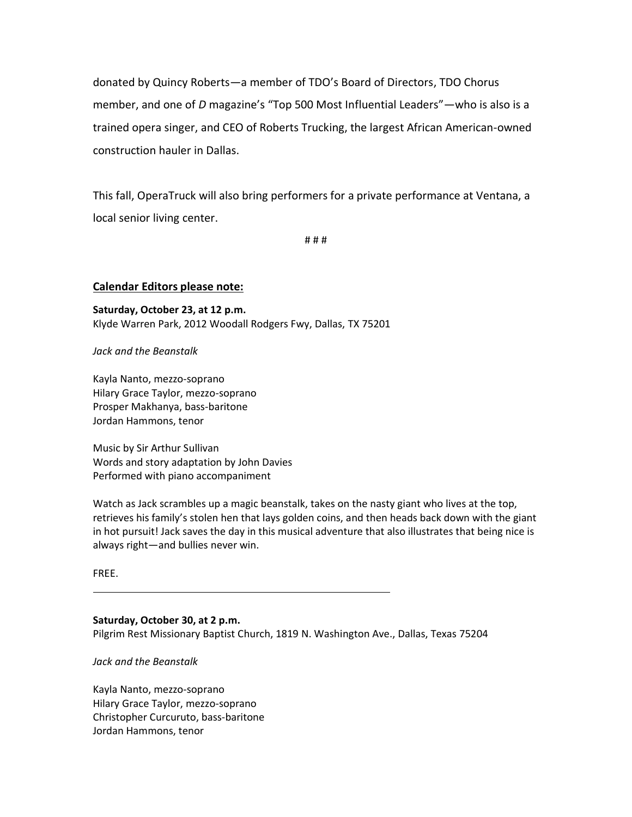donated by Quincy Roberts—a member of TDO's Board of Directors, TDO Chorus member, and one of *D* magazine's "Top 500 Most Influential Leaders"—who is also is a trained opera singer, and CEO of Roberts Trucking, the largest African American-owned construction hauler in Dallas.

This fall, OperaTruck will also bring performers for a private performance at Ventana, a local senior living center.

# # #

#### **Calendar Editors please note:**

**Saturday, October 23, at 12 p.m.** Klyde Warren Park, 2012 Woodall Rodgers Fwy, Dallas, TX 75201 

*Jack and the Beanstalk*

Kayla Nanto, mezzo-soprano Hilary Grace Taylor, mezzo-soprano Prosper Makhanya, bass-baritone Jordan Hammons, tenor

Music by Sir Arthur Sullivan Words and story adaptation by John Davies Performed with piano accompaniment

Watch as Jack scrambles up a magic beanstalk, takes on the nasty giant who lives at the top, retrieves his family's stolen hen that lays golden coins, and then heads back down with the giant in hot pursuit! Jack saves the day in this musical adventure that also illustrates that being nice is always right—and bullies never win.

FREE.

#### **Saturday, October 30, at 2 p.m.**

Pilgrim Rest Missionary Baptist Church, 1819 N. Washington Ave., Dallas, Texas 75204

*Jack and the Beanstalk*

Kayla Nanto, mezzo-soprano Hilary Grace Taylor, mezzo-soprano Christopher Curcuruto, bass-baritone Jordan Hammons, tenor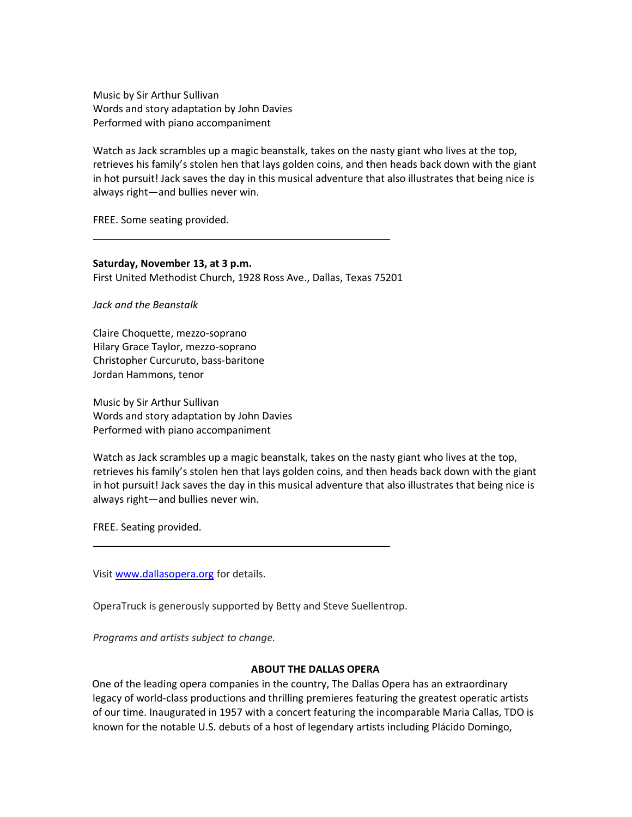Music by Sir Arthur Sullivan Words and story adaptation by John Davies Performed with piano accompaniment

Watch as Jack scrambles up a magic beanstalk, takes on the nasty giant who lives at the top, retrieves his family's stolen hen that lays golden coins, and then heads back down with the giant in hot pursuit! Jack saves the day in this musical adventure that also illustrates that being nice is always right—and bullies never win.

FREE. Some seating provided.

**Saturday, November 13, at 3 p.m.** First United Methodist Church, 1928 Ross Ave., Dallas, Texas 75201

*Jack and the Beanstalk*

Claire Choquette, mezzo-soprano Hilary Grace Taylor, mezzo-soprano Christopher Curcuruto, bass-baritone Jordan Hammons, tenor

Music by Sir Arthur Sullivan Words and story adaptation by John Davies Performed with piano accompaniment

Watch as Jack scrambles up a magic beanstalk, takes on the nasty giant who lives at the top, retrieves his family's stolen hen that lays golden coins, and then heads back down with the giant in hot pursuit! Jack saves the day in this musical adventure that also illustrates that being nice is always right—and bullies never win.

FREE. Seating provided.

Visit [www.dallasopera.org](http://www.dallasopera.org/) for details.

OperaTruck is generously supported by Betty and Steve Suellentrop.

*Programs and artists subject to change.*

#### **ABOUT THE DALLAS OPERA**

One of the leading opera companies in the country, The Dallas Opera has an extraordinary legacy of world-class productions and thrilling premieres featuring the greatest operatic artists of our time. Inaugurated in 1957 with a concert featuring the incomparable Maria Callas, TDO is known for the notable U.S. debuts of a host of legendary artists including Plácido Domingo,